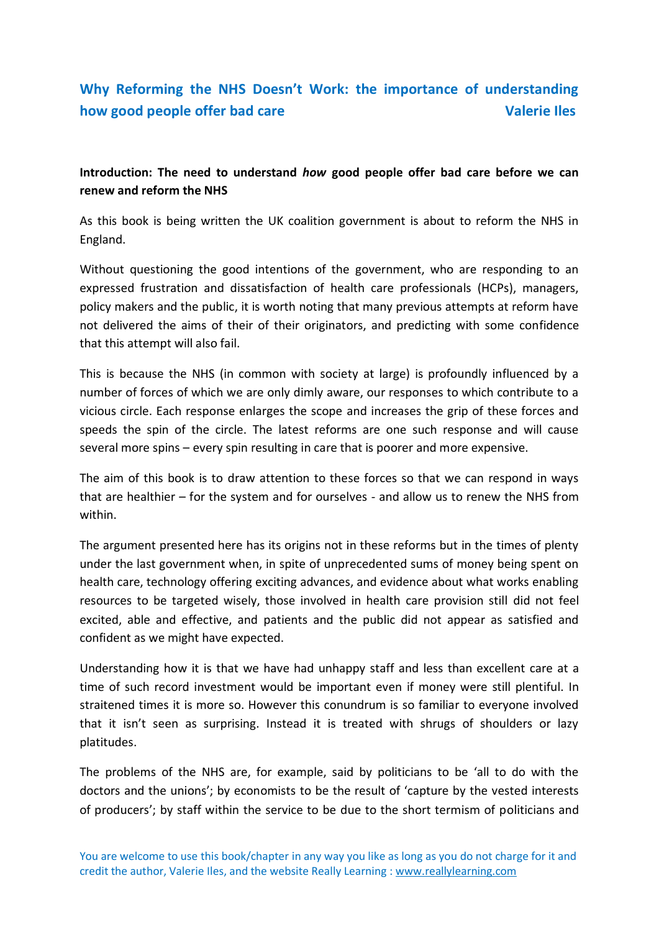## **Why Reforming the NHS Doesn't Work: the importance of understanding how good people offer bad care values** and values of valerie Iles

**Introduction: The need to understand** *how* **good people offer bad care before we can renew and reform the NHS**

As this book is being written the UK coalition government is about to reform the NHS in England.

Without questioning the good intentions of the government, who are responding to an expressed frustration and dissatisfaction of health care professionals (HCPs), managers, policy makers and the public, it is worth noting that many previous attempts at reform have not delivered the aims of their of their originators, and predicting with some confidence that this attempt will also fail.

This is because the NHS (in common with society at large) is profoundly influenced by a number of forces of which we are only dimly aware, our responses to which contribute to a vicious circle. Each response enlarges the scope and increases the grip of these forces and speeds the spin of the circle. The latest reforms are one such response and will cause several more spins – every spin resulting in care that is poorer and more expensive.

The aim of this book is to draw attention to these forces so that we can respond in ways that are healthier – for the system and for ourselves - and allow us to renew the NHS from within.

The argument presented here has its origins not in these reforms but in the times of plenty under the last government when, in spite of unprecedented sums of money being spent on health care, technology offering exciting advances, and evidence about what works enabling resources to be targeted wisely, those involved in health care provision still did not feel excited, able and effective, and patients and the public did not appear as satisfied and confident as we might have expected.

Understanding how it is that we have had unhappy staff and less than excellent care at a time of such record investment would be important even if money were still plentiful. In straitened times it is more so. However this conundrum is so familiar to everyone involved that it isn't seen as surprising. Instead it is treated with shrugs of shoulders or lazy platitudes.

The problems of the NHS are, for example, said by politicians to be 'all to do with the doctors and the unions'; by economists to be the result of 'capture by the vested interests of producers'; by staff within the service to be due to the short termism of politicians and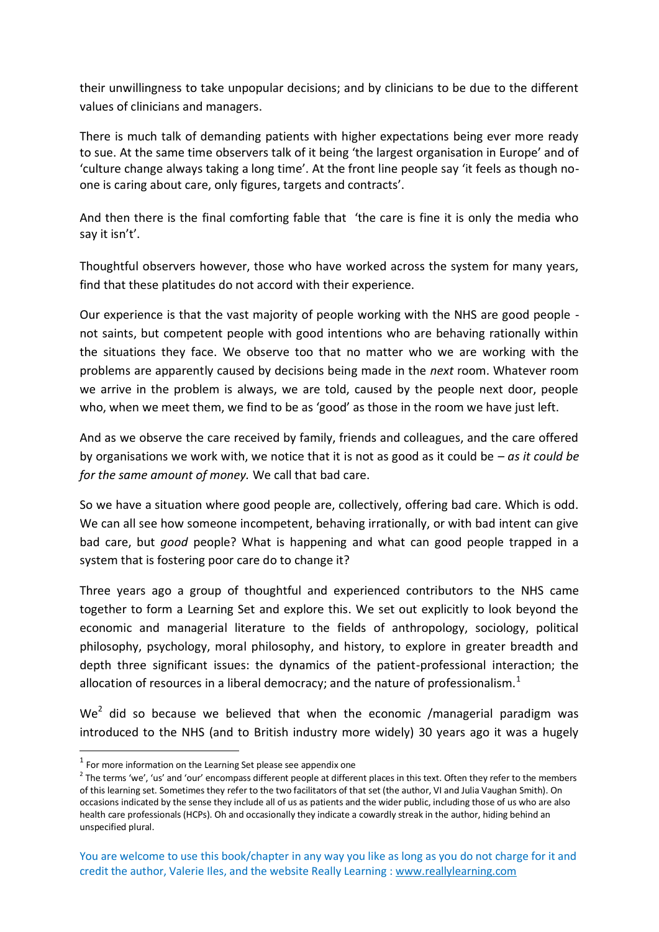their unwillingness to take unpopular decisions; and by clinicians to be due to the different values of clinicians and managers.

There is much talk of demanding patients with higher expectations being ever more ready to sue. At the same time observers talk of it being 'the largest organisation in Europe' and of 'culture change always taking a long time'. At the front line people say 'it feels as though noone is caring about care, only figures, targets and contracts'.

And then there is the final comforting fable that 'the care is fine it is only the media who say it isn't'.

Thoughtful observers however, those who have worked across the system for many years, find that these platitudes do not accord with their experience.

Our experience is that the vast majority of people working with the NHS are good people not saints, but competent people with good intentions who are behaving rationally within the situations they face. We observe too that no matter who we are working with the problems are apparently caused by decisions being made in the *next* room. Whatever room we arrive in the problem is always, we are told, caused by the people next door, people who, when we meet them, we find to be as 'good' as those in the room we have just left.

And as we observe the care received by family, friends and colleagues, and the care offered by organisations we work with, we notice that it is not as good as it could be – *as it could be for the same amount of money.* We call that bad care.

So we have a situation where good people are, collectively, offering bad care. Which is odd. We can all see how someone incompetent, behaving irrationally, or with bad intent can give bad care, but *good* people? What is happening and what can good people trapped in a system that is fostering poor care do to change it?

Three years ago a group of thoughtful and experienced contributors to the NHS came together to form a Learning Set and explore this. We set out explicitly to look beyond the economic and managerial literature to the fields of anthropology, sociology, political philosophy, psychology, moral philosophy, and history, to explore in greater breadth and depth three significant issues: the dynamics of the patient-professional interaction; the allocation of resources in a liberal democracy; and the nature of professionalism. $<sup>1</sup>$ </sup>

 $We<sup>2</sup>$  did so because we believed that when the economic /managerial paradigm was introduced to the NHS (and to British industry more widely) 30 years ago it was a hugely

**.** 

 $<sup>1</sup>$  For more information on the Learning Set please see appendix one</sup>

 $2$  The terms 'we', 'us' and 'our' encompass different people at different places in this text. Often they refer to the members of this learning set. Sometimes they refer to the two facilitators of that set (the author, VI and Julia Vaughan Smith). On occasions indicated by the sense they include all of us as patients and the wider public, including those of us who are also health care professionals (HCPs). Oh and occasionally they indicate a cowardly streak in the author, hiding behind an unspecified plural.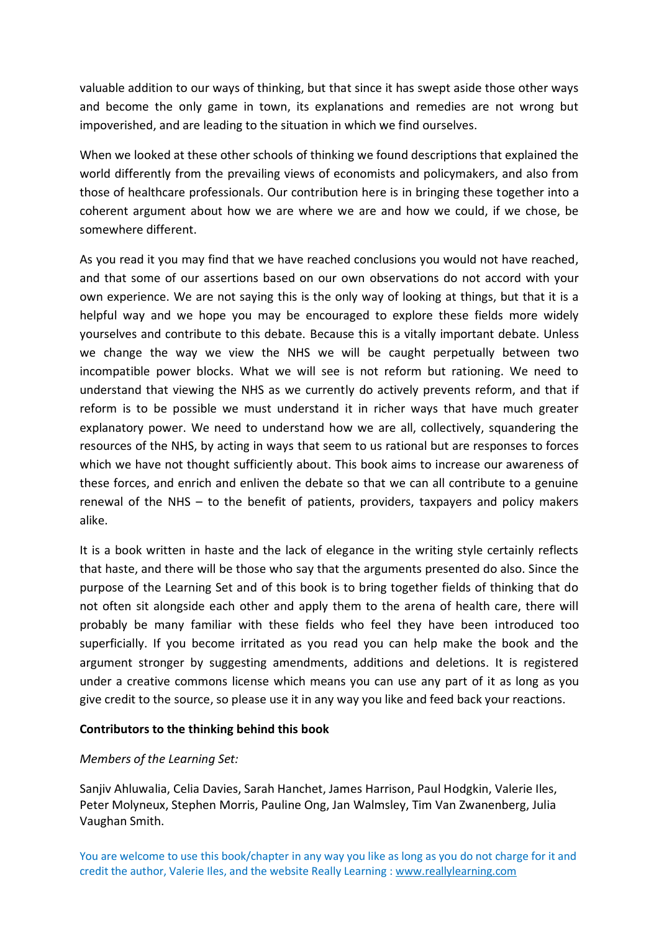valuable addition to our ways of thinking, but that since it has swept aside those other ways and become the only game in town, its explanations and remedies are not wrong but impoverished, and are leading to the situation in which we find ourselves.

When we looked at these other schools of thinking we found descriptions that explained the world differently from the prevailing views of economists and policymakers, and also from those of healthcare professionals. Our contribution here is in bringing these together into a coherent argument about how we are where we are and how we could, if we chose, be somewhere different.

As you read it you may find that we have reached conclusions you would not have reached, and that some of our assertions based on our own observations do not accord with your own experience. We are not saying this is the only way of looking at things, but that it is a helpful way and we hope you may be encouraged to explore these fields more widely yourselves and contribute to this debate. Because this is a vitally important debate. Unless we change the way we view the NHS we will be caught perpetually between two incompatible power blocks. What we will see is not reform but rationing. We need to understand that viewing the NHS as we currently do actively prevents reform, and that if reform is to be possible we must understand it in richer ways that have much greater explanatory power. We need to understand how we are all, collectively, squandering the resources of the NHS, by acting in ways that seem to us rational but are responses to forces which we have not thought sufficiently about. This book aims to increase our awareness of these forces, and enrich and enliven the debate so that we can all contribute to a genuine renewal of the NHS – to the benefit of patients, providers, taxpayers and policy makers alike.

It is a book written in haste and the lack of elegance in the writing style certainly reflects that haste, and there will be those who say that the arguments presented do also. Since the purpose of the Learning Set and of this book is to bring together fields of thinking that do not often sit alongside each other and apply them to the arena of health care, there will probably be many familiar with these fields who feel they have been introduced too superficially. If you become irritated as you read you can help make the book and the argument stronger by suggesting amendments, additions and deletions. It is registered under a creative commons license which means you can use any part of it as long as you give credit to the source, so please use it in any way you like and feed back your reactions.

## **Contributors to the thinking behind this book**

## *Members of the Learning Set:*

Sanjiv Ahluwalia, Celia Davies, Sarah Hanchet, James Harrison, Paul Hodgkin, Valerie Iles, Peter Molyneux, Stephen Morris, Pauline Ong, Jan Walmsley, Tim Van Zwanenberg, Julia Vaughan Smith.

You are welcome to use this book/chapter in any way you like as long as you do not charge for it and credit the author, Valerie Iles, and the website Really Learning : www.reallylearning.com